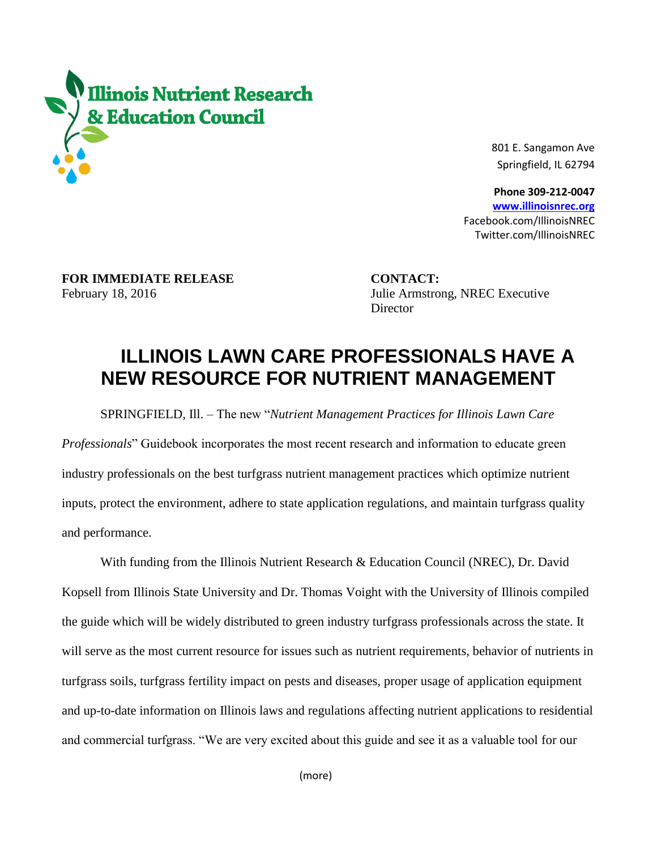

 801 E. Sangamon Ave Springfield, IL 62794

 **Phone 309-212-0047 [www.illinoisnrec.org](http://www.illinoisnrec.org/)** Facebook.com/IllinoisNREC Twitter.com/IllinoisNREC

**FOR IMMEDIATE RELEASE CONTACT:** 

February 18, 2016 Julie Armstrong, NREC Executive **Director** 

## **ILLINOIS LAWN CARE PROFESSIONALS HAVE A NEW RESOURCE FOR NUTRIENT MANAGEMENT**

SPRINGFIELD, Ill. – The new "*Nutrient Management Practices for Illinois Lawn Care* 

*Professionals*" Guidebook incorporates the most recent research and information to educate green industry professionals on the best turfgrass nutrient management practices which optimize nutrient inputs, protect the environment, adhere to state application regulations, and maintain turfgrass quality and performance.

With funding from the Illinois Nutrient Research & Education Council (NREC), Dr. David Kopsell from Illinois State University and Dr. Thomas Voight with the University of Illinois compiled the guide which will be widely distributed to green industry turfgrass professionals across the state. It will serve as the most current resource for issues such as nutrient requirements, behavior of nutrients in turfgrass soils, turfgrass fertility impact on pests and diseases, proper usage of application equipment and up-to-date information on Illinois laws and regulations affecting nutrient applications to residential and commercial turfgrass. "We are very excited about this guide and see it as a valuable tool for our